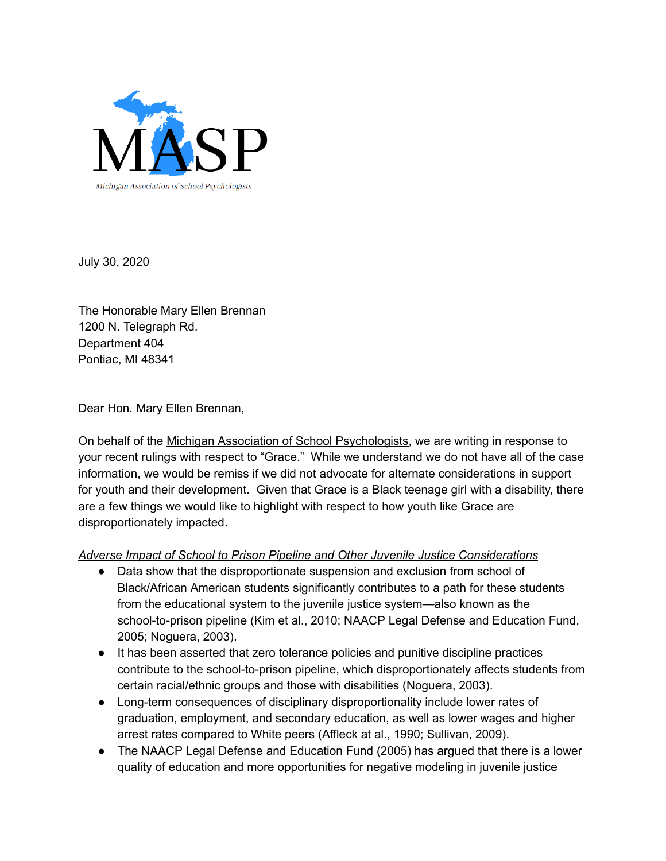

July 30, 2020

The Honorable Mary Ellen Brennan 1200 N. Telegraph Rd. Department 404 Pontiac, MI 48341

Dear Hon. Mary Ellen Brennan,

On behalf of the Michigan Association of School [Psychologists,](http://www.maspweb.com/) we are writing in response to your recent rulings with respect to "Grace." While we understand we do not have all of the case information, we would be remiss if we did not advocate for alternate considerations in support for youth and their development. Given that Grace is a Black teenage girl with a disability, there are a few things we would like to highlight with respect to how youth like Grace are disproportionately impacted.

*Adverse Impact of School to Prison Pipeline and Other Juvenile Justice Considerations*

- Data show that the disproportionate suspension and exclusion from school of Black/African American students significantly contributes to a path for these students from the educational system to the juvenile justice system—also known as the school-to-prison pipeline (Kim et al., 2010; NAACP Legal Defense and Education Fund, 2005; Noguera, 2003).
- It has been asserted that zero tolerance policies and punitive discipline practices contribute to the school-to-prison pipeline, which disproportionately affects students from certain racial/ethnic groups and those with disabilities (Noguera, 2003).
- Long-term consequences of disciplinary disproportionality include lower rates of graduation, employment, and secondary education, as well as lower wages and higher arrest rates compared to White peers (Affleck at al., 1990; Sullivan, 2009).
- The NAACP Legal Defense and Education Fund (2005) has argued that there is a lower quality of education and more opportunities for negative modeling in juvenile justice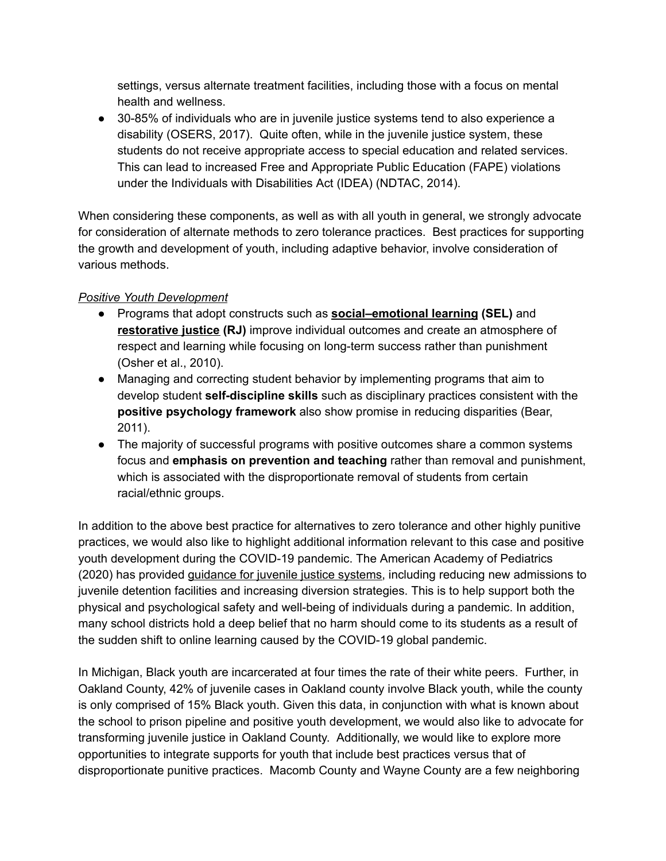settings, versus alternate treatment facilities, including those with a focus on mental health and wellness.

● 30-85% of individuals who are in juvenile justice systems tend to also experience a disability (OSERS, 2017). Quite often, while in the juvenile justice system, these students do not receive appropriate access to special education and related services. This can lead to increased Free and Appropriate Public Education (FAPE) violations under the Individuals with Disabilities Act (IDEA) (NDTAC, 2014).

When considering these components, as well as with all youth in general, we strongly advocate for consideration of alternate methods to zero tolerance practices. Best practices for supporting the growth and development of youth, including adaptive behavior, involve consideration of various methods.

## *Positive Youth Development*

- Programs that adopt constructs such as **[social–emotional](https://casel.org/what-is-sel/) learning (SEL)** and **[restorative](https://www.iirp.edu/restorative-practices/what-is-restorative-practices) justice (RJ)** improve individual outcomes and create an atmosphere of respect and learning while focusing on long-term success rather than punishment (Osher et al., 2010).
- Managing and correcting student behavior by implementing programs that aim to develop student **self-discipline skills** such as disciplinary practices consistent with the **positive psychology framework** also show promise in reducing disparities (Bear, 2011).
- The majority of successful programs with positive outcomes share a common systems focus and **emphasis on prevention and teaching** rather than removal and punishment, which is associated with the disproportionate removal of students from certain racial/ethnic groups.

In addition to the above best practice for alternatives to zero tolerance and other highly punitive practices, we would also like to highlight additional information relevant to this case and positive youth development during the COVID-19 pandemic. The American Academy of Pediatrics (2020) has provided [guidance](https://services.aap.org/en/pages/2019-novel-coronavirus-covid-19-infections/clinical-guidance/responding-to-the-needs-of-youth-involved-with-the-justice-system--during-the-covid-19-pandemic/) for juvenile justice systems, including reducing new admissions to juvenile detention facilities and increasing diversion strategies. This is to help support both the physical and psychological safety and well-being of individuals during a pandemic. In addition, many school districts hold a deep belief that no harm should come to its students as a result of the sudden shift to online learning caused by the COVID-19 global pandemic.

In Michigan, Black youth are incarcerated at four times the rate of their white peers. Further, in Oakland County, 42% of juvenile cases in Oakland county involve Black youth, while the county is only comprised of 15% Black youth. Given this data, in conjunction with what is known about the school to prison pipeline and positive youth development, we would also like to advocate for transforming juvenile justice in Oakland County. Additionally, we would like to explore more opportunities to integrate supports for youth that include best practices versus that of disproportionate punitive practices. Macomb County and Wayne County are a few neighboring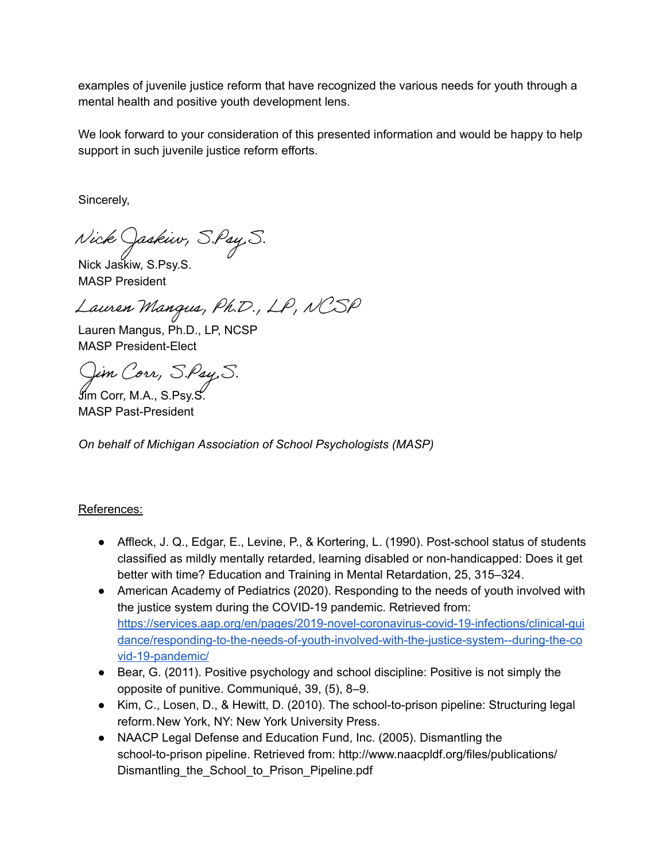examples of juvenile justice reform that have recognized the various needs for youth through a mental health and positive youth development lens.

We look forward to your consideration of this presented information and would be happy to help support in such juvenile justice reform efforts.

Sincerely,

Nick Jaskiw, S.Psy, S.<br>Nick Jaskiw, S.Psy.S.

MASP President

Lauren Mangus, Ph.D., LP, NCSP

Lauren Mangus, Ph.D., LP, NCSP MASP President-Elect

Jim Corr, M.A., S.Psy.S.

MASP Past-President

*On behalf of Michigan Association of School Psychologists (MASP)* 

## References:

- Affleck, J. Q., Edgar, E., Levine, P., & Kortering, L. (1990). Post-school status of students classified as mildly mentally retarded, learning disabled or non-handicapped: Does it get better with time? Education and Training in Mental Retardation, 25, 315–324.
- American Academy of Pediatrics (2020). Responding to the needs of youth involved with the justice system during the COVID-19 pandemic. Retrieved from: [https://services.aap.org/en/pages/2019-novel-coronavirus-covid-19-infections/clinical-gui](https://services.aap.org/en/pages/2019-novel-coronavirus-covid-19-infections/clinical-guidance/responding-to-the-needs-of-youth-involved-with-the-justice-system--during-the-covid-19-pandemic/)  [dance/responding-to-the-needs-of-youth-involved-with-the-justice-system--during-the-co](https://services.aap.org/en/pages/2019-novel-coronavirus-covid-19-infections/clinical-guidance/responding-to-the-needs-of-youth-involved-with-the-justice-system--during-the-covid-19-pandemic/)  [vid-19-pandemic/](https://services.aap.org/en/pages/2019-novel-coronavirus-covid-19-infections/clinical-guidance/responding-to-the-needs-of-youth-involved-with-the-justice-system--during-the-covid-19-pandemic/)
- Bear, G. (2011). Positive psychology and school discipline: Positive is not simply the opposite of punitive. Communiqué, 39, (5), 8–9.
- Kim, C., Losen, D., & Hewitt, D. (2010). The school-to-prison pipeline: Structuring legal reform. New York, NY: New York University Press.
- NAACP Legal Defense and Education Fund, Inc. (2005). Dismantling the school-to-prison pipeline. Retrieved from: http://www.naacpldf.org/files/publications/ Dismantling the School to Prison Pipeline.pdf